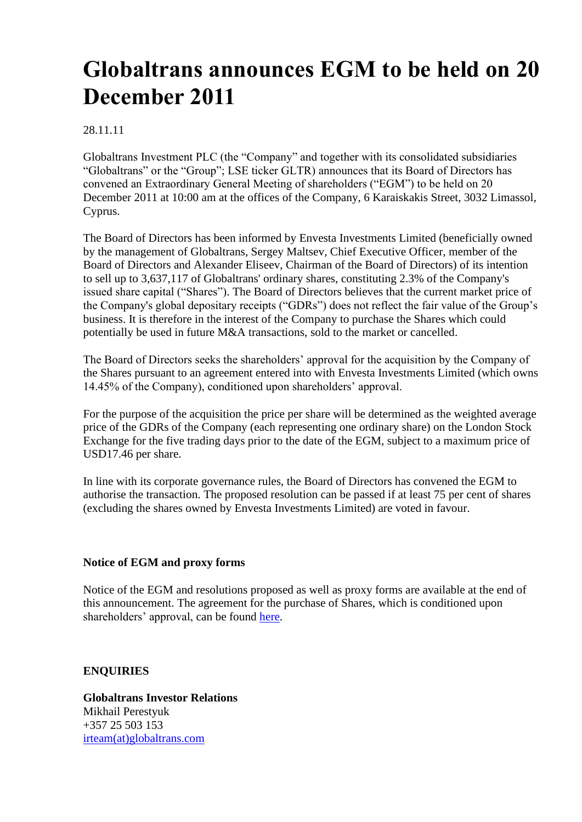# **Globaltrans announces EGM to be held on 20 December 2011**

## 28.11.11

Globaltrans Investment PLC (the "Company" and together with its consolidated subsidiaries "Globaltrans" or the "Group"; LSE ticker GLTR) announces that its Board of Directors has convened an Extraordinary General Meeting of shareholders ("EGM") to be held on 20 December 2011 at 10:00 am at the offices of the Company, 6 Karaiskakis Street, 3032 Limassol, Cyprus.

The Board of Directors has been informed by Envesta Investments Limited (beneficially owned by the management of Globaltrans, Sergey Maltsev, Chief Executive Officer, member of the Board of Directors and Alexander Eliseev, Chairman of the Board of Directors) of its intention to sell up to 3,637,117 of Globaltrans' ordinary shares, constituting 2.3% of the Company's issued share capital ("Shares"). The Board of Directors believes that the current market price of the Company's global depositary receipts ("GDRs") does not reflect the fair value of the Group's business. It is therefore in the interest of the Company to purchase the Shares which could potentially be used in future M&A transactions, sold to the market or cancelled.

The Board of Directors seeks the shareholders' approval for the acquisition by the Company of the Shares pursuant to an agreement entered into with Envesta Investments Limited (which owns 14.45% of the Company), conditioned upon shareholders' approval.

For the purpose of the acquisition the price per share will be determined as the weighted average price of the GDRs of the Company (each representing one ordinary share) on the London Stock Exchange for the five trading days prior to the date of the EGM, subject to a maximum price of USD17.46 per share.

In line with its corporate governance rules, the Board of Directors has convened the EGM to authorise the transaction. The proposed resolution can be passed if at least 75 per cent of shares (excluding the shares owned by Envesta Investments Limited) are voted in favour.

#### **Notice of EGM and proxy forms**

Notice of the EGM and resolutions proposed as well as proxy forms are available at the end of this announcement. The agreement for the purchase of Shares, which is conditioned upon shareholders' approval, can be found [here.](https://www.globaltrans.com/fileadmin/content/files/GLTR_Envesta_SPA_20111128.pdf)

# **ENQUIRIES**

**Globaltrans Investor Relations** Mikhail Perestyuk +357 25 503 153 [irteam\(at\)globaltrans.com](mailto:irteam@globaltrans.com)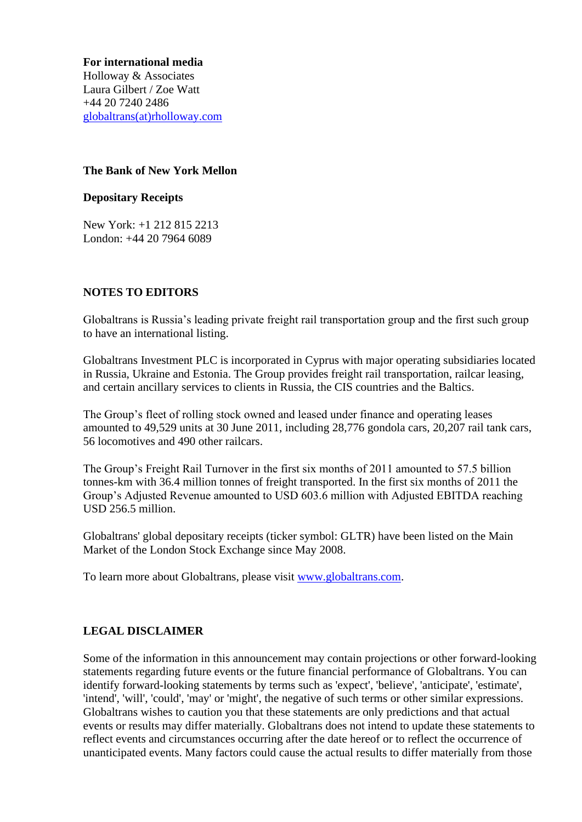**For international media** Holloway & Associates Laura Gilbert / Zoe Watt +44 20 7240 2486 [globaltrans\(at\)rholloway.com](mailto:globaltrans@rholloway.com)

## **The Bank of New York Mellon**

#### **Depositary Receipts**

New York: +1 212 815 2213 London: +44 20 7964 6089

#### **NOTES TO EDITORS**

Globaltrans is Russia's leading private freight rail transportation group and the first such group to have an international listing.

Globaltrans Investment PLC is incorporated in Cyprus with major operating subsidiaries located in Russia, Ukraine and Estonia. The Group provides freight rail transportation, railcar leasing, and certain ancillary services to clients in Russia, the CIS countries and the Baltics.

The Group's fleet of rolling stock owned and leased under finance and operating leases amounted to 49,529 units at 30 June 2011, including 28,776 gondola cars, 20,207 rail tank cars, 56 locomotives and 490 other railcars.

The Group's Freight Rail Turnover in the first six months of 2011 amounted to 57.5 billion tonnes-km with 36.4 million tonnes of freight transported. In the first six months of 2011 the Group's Adjusted Revenue amounted to USD 603.6 million with Adjusted EBITDA reaching USD 256.5 million.

Globaltrans' global depositary receipts (ticker symbol: GLTR) have been listed on the Main Market of the London Stock Exchange since May 2008.

To learn more about Globaltrans, please visit [www.globaltrans.com.](http://www.globaltrans.com/)

# **LEGAL DISCLAIMER**

Some of the information in this announcement may contain projections or other forward-looking statements regarding future events or the future financial performance of Globaltrans. You can identify forward-looking statements by terms such as 'expect', 'believe', 'anticipate', 'estimate', 'intend', 'will', 'could', 'may' or 'might', the negative of such terms or other similar expressions. Globaltrans wishes to caution you that these statements are only predictions and that actual events or results may differ materially. Globaltrans does not intend to update these statements to reflect events and circumstances occurring after the date hereof or to reflect the occurrence of unanticipated events. Many factors could cause the actual results to differ materially from those